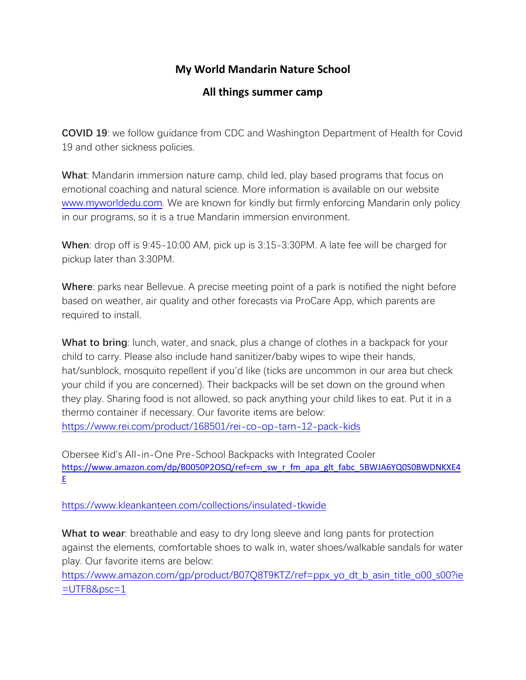## **My World Mandarin Nature School**

## **All things summer camp**

**COVID 19**: we follow guidance from CDC and Washington Department of Health for Covid 19 and other sickness policies.

**What**: Mandarin immersion nature camp, child led, play based programs that focus on emotional coaching and natural science. More information is available on our website [www.myworldedu.com.](http://www.myworldedu.com/) We are known for kindly but firmly enforcing Mandarin only policy in our programs, so it is a true Mandarin immersion environment.

**When**: drop off is 9:45-10:00 AM, pick up is 3:15-3:30PM. A late fee will be charged for pickup later than 3:30PM.

**Where**: parks near Bellevue. A precise meeting point of a park is notified the night before based on weather, air quality and other forecasts via ProCare App, which parents are required to install.

**What to bring**: lunch, water, and snack, plus a change of clothes in a backpack for your child to carry. Please also include hand sanitizer/baby wipes to wipe their hands, hat/sunblock, mosquito repellent if you'd like (ticks are uncommon in our area but check your child if you are concerned). Their backpacks will be set down on the ground when they play. Sharing food is not allowed, so pack anything your child likes to eat. Put it in a thermo container if necessary. Our favorite items are below: <https://www.rei.com/product/168501/rei-co-op-tarn-12-pack-kids>

Obersee Kid's All-in-One Pre-School Backpacks with Integrated Cooler [https://www.amazon.com/dp/B0050P2OSQ/ref=cm\\_sw\\_r\\_fm\\_apa\\_glt\\_fabc\\_5BWJA6YQ0S0BWDNKXE4](https://www.amazon.com/dp/B0050P2OSQ/ref=cm_sw_r_fm_apa_glt_fabc_5BWJA6YQ0S0BWDNKXE4E) [E](https://www.amazon.com/dp/B0050P2OSQ/ref=cm_sw_r_fm_apa_glt_fabc_5BWJA6YQ0S0BWDNKXE4E)

<https://www.kleankanteen.com/collections/insulated-tkwide>

**What to wear**: breathable and easy to dry long sleeve and long pants for protection against the elements, comfortable shoes to walk in, water shoes/walkable sandals for water play. Our favorite items are below:

[https://www.amazon.com/gp/product/B07Q8T9KTZ/ref=ppx\\_yo\\_dt\\_b\\_asin\\_title\\_o00\\_s00?ie](https://www.amazon.com/gp/product/B07Q8T9KTZ/ref=ppx_yo_dt_b_asin_title_o00_s00?ie=UTF8&psc=1)  $=$ UTF8&psc=1